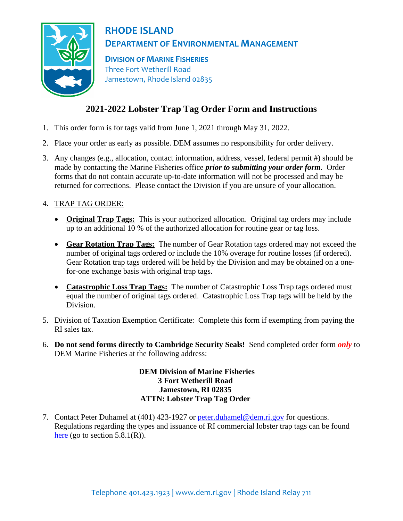

## **RHODE ISLAND DEPARTMENT OF ENVIRONMENTAL MANAGEMENT**

**DIVISION OF MARINE FISHERIES** Three Fort Wetherill Road Jamestown, Rhode Island 02835

# **2021-2022 Lobster Trap Tag Order Form and Instructions**

- 1. This order form is for tags valid from June 1, 2021 through May 31, 2022.
- 2. Place your order as early as possible. DEM assumes no responsibility for order delivery.
- 3. Any changes (e.g., allocation, contact information, address, vessel, federal permit #) should be made by contacting the Marine Fisheries office *prior to submitting your order form*. Order forms that do not contain accurate up-to-date information will not be processed and may be returned for corrections. Please contact the Division if you are unsure of your allocation.

## 4. TRAP TAG ORDER:

- **Original Trap Tags:** This is your authorized allocation. Original tag orders may include up to an additional 10 % of the authorized allocation for routine gear or tag loss.
- **Gear Rotation Trap Tags:** The number of Gear Rotation tags ordered may not exceed the number of original tags ordered or include the 10% overage for routine losses (if ordered). Gear Rotation trap tags ordered will be held by the Division and may be obtained on a onefor-one exchange basis with original trap tags.
- **Catastrophic Loss Trap Tags:** The number of Catastrophic Loss Trap tags ordered must equal the number of original tags ordered. Catastrophic Loss Trap tags will be held by the Division.
- 5. Division of Taxation Exemption Certificate: Complete this form if exempting from paying the RI sales tax.
- 6. **Do not send forms directly to Cambridge Security Seals!** Send completed order form *only* to DEM Marine Fisheries at the following address:

### **DEM Division of Marine Fisheries 3 Fort Wetherill Road Jamestown, RI 02835 ATTN: Lobster Trap Tag Order**

7. Contact Peter Duhamel at (401) 423-1927 or [peter.duhamel@dem.ri.gov](mailto:peter.duhamel@dem.ri.gov) for questions. Regulations regarding the types and issuance of RI commercial lobster trap tags can be found [here](https://rules.sos.ri.gov/regulations/part/250-90-00-5) (go to section  $5.8.1(R)$ ).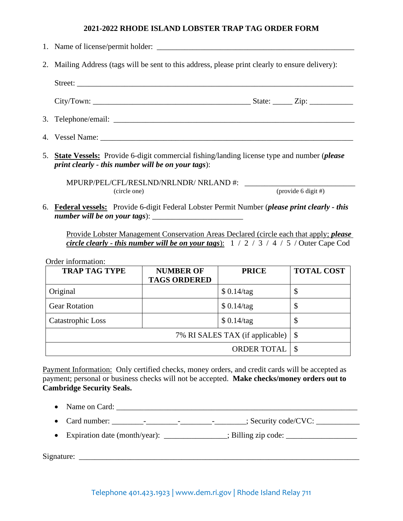#### **2021-2022 RHODE ISLAND LOBSTER TRAP TAG ORDER FORM**

- 1. Name of license/permit holder: \_\_\_\_\_\_\_\_\_\_\_\_\_\_\_\_\_\_\_\_\_\_\_\_\_\_\_\_\_\_\_\_\_\_\_\_\_\_\_\_\_\_\_\_\_\_\_\_\_\_ 2. Mailing Address (tags will be sent to this address, please print clearly to ensure delivery): Street: City/Town: \_\_\_\_\_\_\_\_\_\_\_\_\_\_\_\_\_\_\_\_\_\_\_\_\_\_\_\_\_\_\_\_\_\_\_\_\_\_\_\_ State: \_\_\_\_\_ Zip: \_\_\_\_\_\_\_\_\_\_\_ 3. Telephone/email: 4. Vessel Name: \_\_\_\_\_\_\_\_\_\_\_\_\_\_\_\_\_\_\_\_\_\_\_\_\_\_\_\_\_\_\_\_\_\_\_\_\_\_\_\_\_\_\_\_\_\_\_\_\_\_\_\_\_\_\_\_\_\_\_\_\_\_\_\_
- 5. **State Vessels:** Provide 6-digit commercial fishing/landing license type and number (*please print clearly - this number will be on your tags*):

MPURP/PEL/CFL/RESLND/NRLNDR/ NRLAND #: \_\_\_\_\_\_\_\_\_\_\_\_\_\_\_\_\_\_\_\_\_\_\_\_\_\_\_\_ (circle one) (provide 6 digit #)

6. **Federal vessels:** Provide 6-digit Federal Lobster Permit Number (*please print clearly - this number will be on your tags*): \_\_\_\_\_\_\_\_\_\_\_\_\_\_\_\_\_\_\_\_\_\_\_

Provide Lobster Management Conservation Areas Declared (circle each that apply; *please circle clearly - this number will be on your tags*): 1 / 2 / 3 / 4 / 5 / Outer Cape Cod

Order information:

| <b>TRAP TAG TYPE</b> | <b>NUMBER OF</b><br><b>TAGS ORDERED</b> | <b>PRICE</b> | <b>TOTAL COST</b> |
|----------------------|-----------------------------------------|--------------|-------------------|
| Original             |                                         | \$0.14/tag   | Φ                 |
| <b>Gear Rotation</b> |                                         | \$0.14/tag   | Φ                 |
| Catastrophic Loss    |                                         | \$0.14/tag   | Φ                 |
|                      | $\mathcal{S}$                           |              |                   |
|                      |                                         |              |                   |

Payment Information: Only certified checks, money orders, and credit cards will be accepted as payment; personal or business checks will not be accepted. **Make checks/money orders out to Cambridge Security Seals.**

- Name on Card:
- Card number: \_\_\_\_\_\_\_\_-\_\_\_\_\_\_\_\_-\_\_\_\_\_\_\_\_-\_\_\_\_\_\_\_\_; Security code/CVC: \_\_\_\_\_\_\_\_\_\_\_
- Expiration date (month/year):  $\bullet$  ; Billing zip code:

 $Signature:$